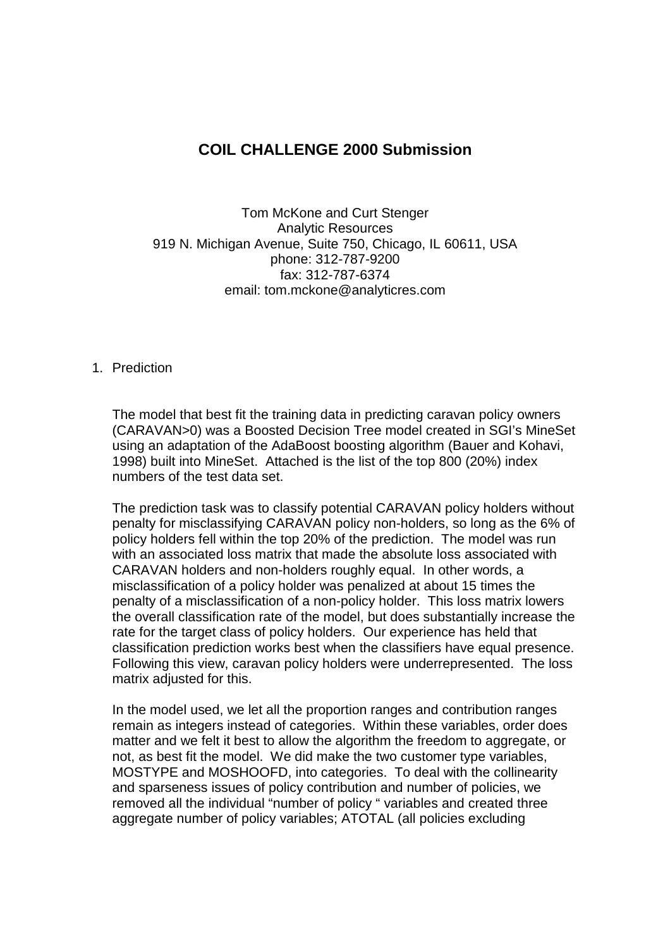## **COIL CHALLENGE 2000 Submission**

Tom McKone and Curt Stenger Analytic Resources 919 N. Michigan Avenue, Suite 750, Chicago, IL 60611, USA phone: 312-787-9200 fax: 312-787-6374 email: tom.mckone@analyticres.com

### 1. Prediction

The model that best fit the training data in predicting caravan policy owners (CARAVAN>0) was a Boosted Decision Tree model created in SGI's MineSet using an adaptation of the AdaBoost boosting algorithm (Bauer and Kohavi, 1998) built into MineSet. Attached is the list of the top 800 (20%) index numbers of the test data set.

The prediction task was to classify potential CARAVAN policy holders without penalty for misclassifying CARAVAN policy non-holders, so long as the 6% of policy holders fell within the top 20% of the prediction. The model was run with an associated loss matrix that made the absolute loss associated with CARAVAN holders and non-holders roughly equal. In other words, a misclassification of a policy holder was penalized at about 15 times the penalty of a misclassification of a non-policy holder. This loss matrix lowers the overall classification rate of the model, but does substantially increase the rate for the target class of policy holders. Our experience has held that classification prediction works best when the classifiers have equal presence. Following this view, caravan policy holders were underrepresented. The loss matrix adjusted for this.

In the model used, we let all the proportion ranges and contribution ranges remain as integers instead of categories. Within these variables, order does matter and we felt it best to allow the algorithm the freedom to aggregate, or not, as best fit the model. We did make the two customer type variables, MOSTYPE and MOSHOOFD, into categories. To deal with the collinearity and sparseness issues of policy contribution and number of policies, we removed all the individual "number of policy " variables and created three aggregate number of policy variables; ATOTAL (all policies excluding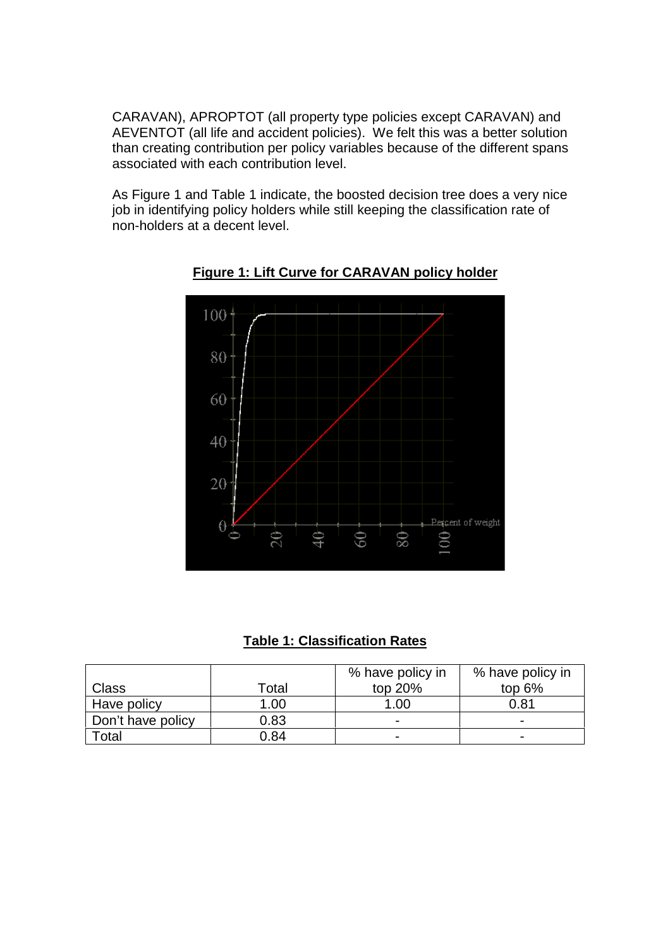CARAVAN), APROPTOT (all property type policies except CARAVAN) and AEVENTOT (all life and accident policies). We felt this was a better solution than creating contribution per policy variables because of the different spans associated with each contribution level.

As Figure 1 and Table 1 indicate, the boosted decision tree does a very nice job in identifying policy holders while still keeping the classification rate of non-holders at a decent level.



**Figure 1: Lift Curve for CARAVAN policy holder**

**Table 1: Classification Rates**

|                   |       | % have policy in         | % have policy in |
|-------------------|-------|--------------------------|------------------|
| Class             | Total | top 20%                  | top $6%$         |
| Have policy       | 1.00  | 1.00                     | 0.81             |
| Don't have policy | 0.83  | $\overline{\phantom{a}}$ | -                |
| <sup>-</sup> otal | 0.84  | $\overline{\phantom{0}}$ | -                |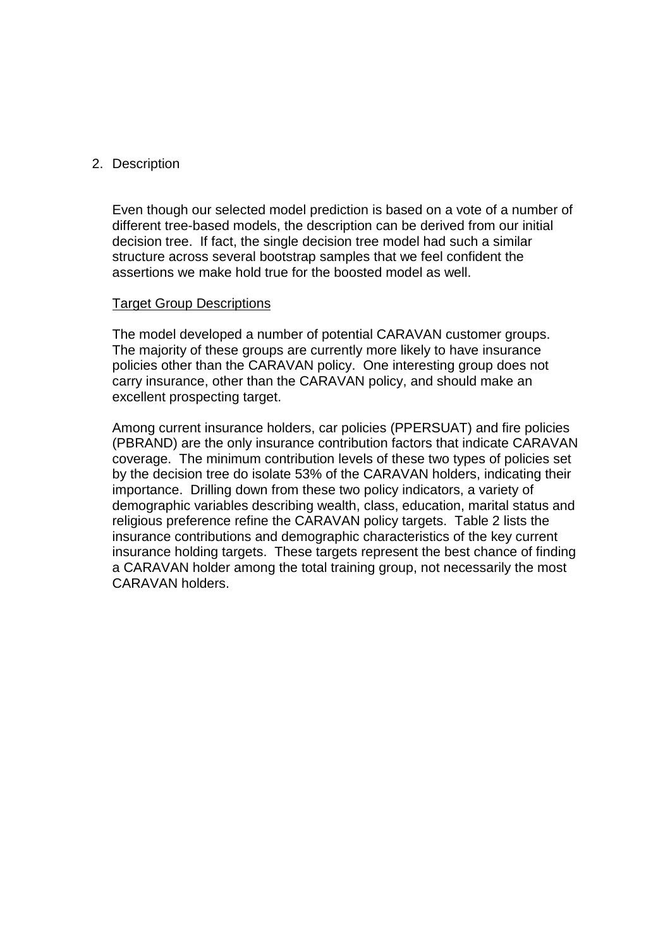## 2. Description

Even though our selected model prediction is based on a vote of a number of different tree-based models, the description can be derived from our initial decision tree. If fact, the single decision tree model had such a similar structure across several bootstrap samples that we feel confident the assertions we make hold true for the boosted model as well.

#### Target Group Descriptions

The model developed a number of potential CARAVAN customer groups. The majority of these groups are currently more likely to have insurance policies other than the CARAVAN policy. One interesting group does not carry insurance, other than the CARAVAN policy, and should make an excellent prospecting target.

Among current insurance holders, car policies (PPERSUAT) and fire policies (PBRAND) are the only insurance contribution factors that indicate CARAVAN coverage. The minimum contribution levels of these two types of policies set by the decision tree do isolate 53% of the CARAVAN holders, indicating their importance. Drilling down from these two policy indicators, a variety of demographic variables describing wealth, class, education, marital status and religious preference refine the CARAVAN policy targets. Table 2 lists the insurance contributions and demographic characteristics of the key current insurance holding targets. These targets represent the best chance of finding a CARAVAN holder among the total training group, not necessarily the most CARAVAN holders.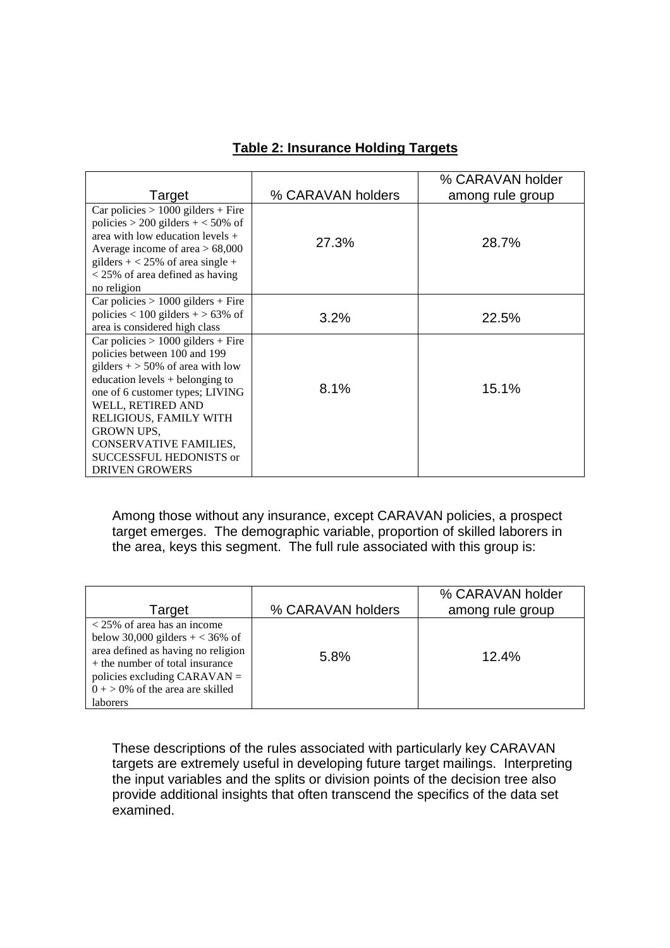| Target                                                                                                                                                                                                                                                                                                                                      | % CARAVAN holders | % CARAVAN holder<br>among rule group |
|---------------------------------------------------------------------------------------------------------------------------------------------------------------------------------------------------------------------------------------------------------------------------------------------------------------------------------------------|-------------------|--------------------------------------|
| Car policies $> 1000$ gilders + Fire<br>policies > 200 gilders + $<$ 50% of<br>area with low education levels $+$<br>Average income of area $> 68,000$<br>gilders $+ < 25\%$ of area single +<br>$<$ 25% of area defined as having<br>no religion                                                                                           | 27.3%             | 28.7%                                |
| Car policies $> 1000$ gilders + Fire<br>policies < 100 gilders + > 63% of<br>area is considered high class                                                                                                                                                                                                                                  | $3.2\%$           | 22.5%                                |
| Car policies $> 1000$ gilders + Fire<br>policies between 100 and 199<br>gilders $+$ > 50% of area with low<br>education levels $+$ belonging to<br>one of 6 customer types; LIVING<br>WELL, RETIRED AND<br>RELIGIOUS, FAMILY WITH<br><b>GROWN UPS,</b><br><b>CONSERVATIVE FAMILIES,</b><br>SUCCESSFUL HEDONISTS or<br><b>DRIVEN GROWERS</b> | 8.1%              | 15.1%                                |

# **Table 2: Insurance Holding Targets**

Among those without any insurance, except CARAVAN policies, a prospect target emerges. The demographic variable, proportion of skilled laborers in the area, keys this segment. The full rule associated with this group is:

| Target                                                                                                                                                                                                                              | % CARAVAN holders | % CARAVAN holder<br>among rule group |
|-------------------------------------------------------------------------------------------------------------------------------------------------------------------------------------------------------------------------------------|-------------------|--------------------------------------|
| $<$ 25% of area has an income<br>below 30,000 gilders $+ < 36\%$ of<br>area defined as having no religion<br>$+$ the number of total insurance<br>policies excluding CARAVAN $=$<br>$0 + > 0\%$ of the area are skilled<br>laborers | 5.8%              | 12.4%                                |

These descriptions of the rules associated with particularly key CARAVAN targets are extremely useful in developing future target mailings. Interpreting the input variables and the splits or division points of the decision tree also provide additional insights that often transcend the specifics of the data set examined.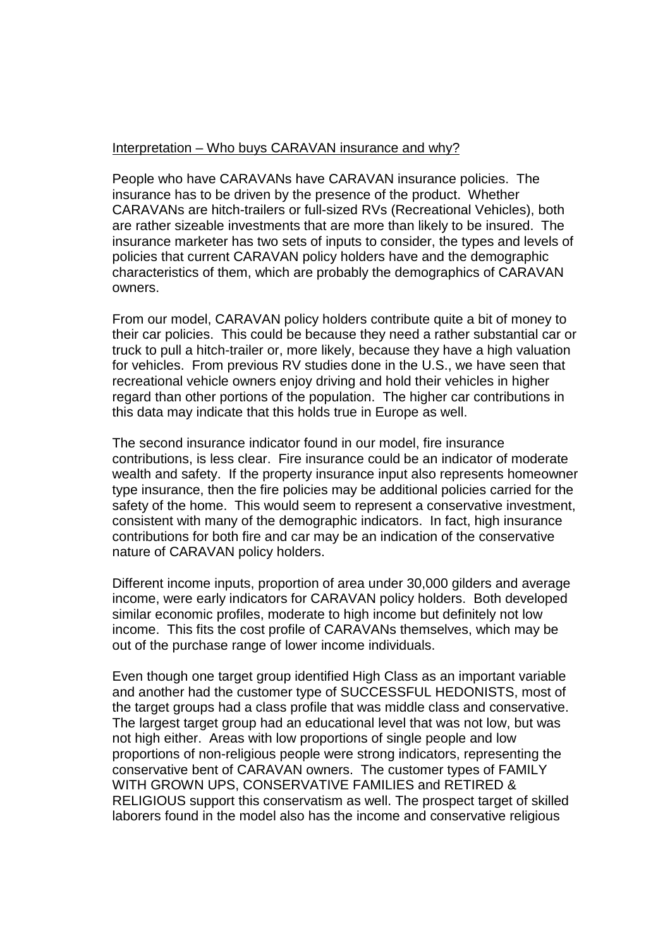## Interpretation – Who buys CARAVAN insurance and why?

People who have CARAVANs have CARAVAN insurance policies. The insurance has to be driven by the presence of the product. Whether CARAVANs are hitch-trailers or full-sized RVs (Recreational Vehicles), both are rather sizeable investments that are more than likely to be insured. The insurance marketer has two sets of inputs to consider, the types and levels of policies that current CARAVAN policy holders have and the demographic characteristics of them, which are probably the demographics of CARAVAN owners.

From our model, CARAVAN policy holders contribute quite a bit of money to their car policies. This could be because they need a rather substantial car or truck to pull a hitch-trailer or, more likely, because they have a high valuation for vehicles. From previous RV studies done in the U.S., we have seen that recreational vehicle owners enjoy driving and hold their vehicles in higher regard than other portions of the population. The higher car contributions in this data may indicate that this holds true in Europe as well.

The second insurance indicator found in our model, fire insurance contributions, is less clear. Fire insurance could be an indicator of moderate wealth and safety. If the property insurance input also represents homeowner type insurance, then the fire policies may be additional policies carried for the safety of the home. This would seem to represent a conservative investment, consistent with many of the demographic indicators. In fact, high insurance contributions for both fire and car may be an indication of the conservative nature of CARAVAN policy holders.

Different income inputs, proportion of area under 30,000 gilders and average income, were early indicators for CARAVAN policy holders. Both developed similar economic profiles, moderate to high income but definitely not low income. This fits the cost profile of CARAVANs themselves, which may be out of the purchase range of lower income individuals.

Even though one target group identified High Class as an important variable and another had the customer type of SUCCESSFUL HEDONISTS, most of the target groups had a class profile that was middle class and conservative. The largest target group had an educational level that was not low, but was not high either. Areas with low proportions of single people and low proportions of non-religious people were strong indicators, representing the conservative bent of CARAVAN owners. The customer types of FAMILY WITH GROWN UPS, CONSERVATIVE FAMILIES and RETIRED & RELIGIOUS support this conservatism as well. The prospect target of skilled laborers found in the model also has the income and conservative religious